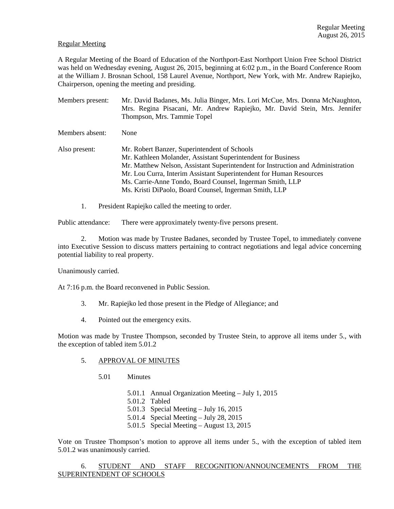### Regular Meeting

A Regular Meeting of the Board of Education of the Northport-East Northport Union Free School District was held on Wednesday evening, August 26, 2015, beginning at 6:02 p.m., in the Board Conference Room at the William J. Brosnan School, 158 Laurel Avenue, Northport, New York, with Mr. Andrew Rapiejko, Chairperson, opening the meeting and presiding.

Members present: Mr. David Badanes, Ms. Julia Binger, Mrs. Lori McCue, Mrs. Donna McNaughton, Mrs. Regina Pisacani, Mr. Andrew Rapiejko, Mr. David Stein, Mrs. Jennifer Thompson, Mrs. Tammie Topel Members absent: None Also present: Mr. Robert Banzer, Superintendent of Schools Mr. Kathleen Molander, Assistant Superintendent for Business Mr. Matthew Nelson, Assistant Superintendent for Instruction and Administration Mr. Lou Curra, Interim Assistant Superintendent for Human Resources Ms. Carrie-Anne Tondo, Board Counsel, Ingerman Smith, LLP Ms. Kristi DiPaolo, Board Counsel, Ingerman Smith, LLP

1. President Rapiejko called the meeting to order.

Public attendance: There were approximately twenty-five persons present.

2. Motion was made by Trustee Badanes, seconded by Trustee Topel, to immediately convene into Executive Session to discuss matters pertaining to contract negotiations and legal advice concerning potential liability to real property.

Unanimously carried.

At 7:16 p.m. the Board reconvened in Public Session.

- 3. Mr. Rapiejko led those present in the Pledge of Allegiance; and
- 4. Pointed out the emergency exits.

Motion was made by Trustee Thompson, seconded by Trustee Stein, to approve all items under 5., with the exception of tabled item 5.01.2

### 5. APPROVAL OF MINUTES

- 5.01 Minutes
	- 5.01.1 Annual Organization Meeting July 1, 2015
	- 5.01.2 Tabled
	- 5.01.3 Special Meeting July 16, 2015
	- 5.01.4 Special Meeting July 28, 2015
	- 5.01.5 Special Meeting August 13, 2015

Vote on Trustee Thompson's motion to approve all items under 5., with the exception of tabled item 5.01.2 was unanimously carried.

 6. STUDENT AND STAFF RECOGNITION/ANNOUNCEMENTS FROM THE SUPERINTENDENT OF SCHOOLS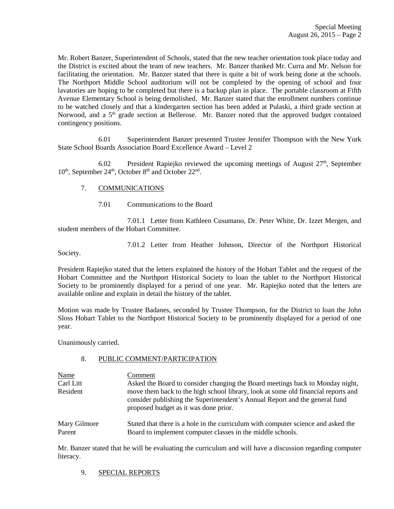Mr. Robert Banzer, Superintendent of Schools, stated that the new teacher orientation took place today and the District is excited about the team of new teachers. Mr. Banzer thanked Mr. Curra and Mr. Nelson for facilitating the orientation. Mr. Banzer stated that there is quite a bit of work being done at the schools. The Northport Middle School auditorium will not be completed by the opening of school and four lavatories are hoping to be completed but there is a backup plan in place. The portable classroom at Fifth Avenue Elementary School is being demolished. Mr. Banzer stated that the enrollment numbers continue to be watched closely and that a kindergarten section has been added at Pulaski, a third grade section at Norwood, and a  $5<sup>th</sup>$  grade section at Bellerose. Mr. Banzer noted that the approved budget contained contingency positions.

 6.01 Superintendent Banzer presented Trustee Jennifer Thompson with the New York State School Boards Association Board Excellence Award – Level 2

6.02 President Rapiejko reviewed the upcoming meetings of August  $27<sup>th</sup>$ , September 10<sup>th</sup>, September 24<sup>th</sup>, October 8<sup>th</sup> and October 22<sup>nd</sup>.

## 7. COMMUNICATIONS

7.01 Communications to the Board

 7.01.1 Letter from Kathleen Cusumano, Dr. Peter White, Dr. Izzet Mergen, and student members of the Hobart Committee.

7.01.2 Letter from Heather Johnson, Director of the Northport Historical

Society.

President Rapiejko stated that the letters explained the history of the Hobart Tablet and the request of the Hobart Committee and the Northport Historical Society to loan the tablet to the Northport Historical Society to be prominently displayed for a period of one year. Mr. Rapiejko noted that the letters are available online and explain in detail the history of the tablet.

Motion was made by Trustee Badanes, seconded by Trustee Thompson, for the District to loan the John Sloss Hobart Tablet to the Northport Historical Society to be prominently displayed for a period of one year.

Unanimously carried.

## 8. PUBLIC COMMENT/PARTICIPATION

| Name<br>Carl Litt | Comment<br>Asked the Board to consider changing the Board meetings back to Monday night,                                                                                                                  |
|-------------------|-----------------------------------------------------------------------------------------------------------------------------------------------------------------------------------------------------------|
| Resident          | move them back to the high school library, look at some old financial reports and<br>consider publishing the Superintendent's Annual Report and the general fund<br>proposed budget as it was done prior. |
| Mary Gilmore      | Stated that there is a hole in the curriculum with computer science and asked the                                                                                                                         |
| Parent            | Board to implement computer classes in the middle schools.                                                                                                                                                |

Mr. Banzer stated that he will be evaluating the curriculum and will have a discussion regarding computer literacy.

# 9. SPECIAL REPORTS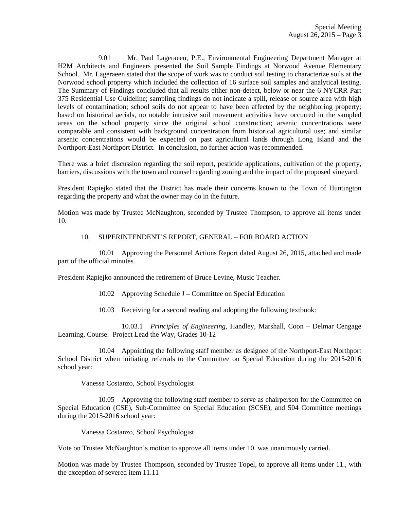9.01 Mr. Paul Lageraeen, P.E., Environmental Engineering Department Manager at H2M Architects and Engineers presented the Soil Sample Findings at Norwood Avenue Elementary School. Mr. Lageraeen stated that the scope of work was to conduct soil testing to characterize soils at the Norwood school property which included the collection of 16 surface soil samples and analytical testing. The Summary of Findings concluded that all results either non-detect, below or near the 6 NYCRR Part 375 Residential Use Guideline; sampling findings do not indicate a spill, release or source area with high levels of contamination; school soils do not appear to have been affected by the neighboring property; based on historical aerials, no notable intrusive soil movement activities have occurred in the sampled areas on the school property since the original school construction; arsenic concentrations were comparable and consistent with background concentration from historical agricultural use; and similar arsenic concentrations would be expected on past agricultural lands through Long Island and the Northport-East Northport District. In conclusion, no further action was recommended.

There was a brief discussion regarding the soil report, pesticide applications, cultivation of the property, barriers, discussions with the town and counsel regarding zoning and the impact of the proposed vineyard.

President Rapiejko stated that the District has made their concerns known to the Town of Huntington regarding the property and what the owner may do in the future.

Motion was made by Trustee McNaughton, seconded by Trustee Thompson, to approve all items under 10.

### 10. SUPERINTENDENT'S REPORT, GENERAL – FOR BOARD ACTION

 10.01 Approving the Personnel Actions Report dated August 26, 2015, attached and made part of the official minutes.

President Rapiejko announced the retirement of Bruce Levine, Music Teacher.

- 10.02 Approving Schedule J Committee on Special Education
- 10.03 Receiving for a second reading and adopting the following textbook:

 10.03.1 *Principles of Engineering,* Handley, Marshall, Coon – Delmar Cengage Learning, Course: Project Lead the Way, Grades 10-12

 10.04 Appointing the following staff member as designee of the Northport-East Northport School District when initiating referrals to the Committee on Special Education during the 2015-2016 school year:

Vanessa Costanzo, School Psychologist

 10.05 Approving the following staff member to serve as chairperson for the Committee on Special Education (CSE), Sub-Committee on Special Education (SCSE), and 504 Committee meetings during the 2015-2016 school year:

Vanessa Costanzo, School Psychologist

Vote on Trustee McNaughton's motion to approve all items under 10. was unanimously carried.

Motion was made by Trustee Thompson, seconded by Trustee Topel, to approve all items under 11., with the exception of severed item 11.11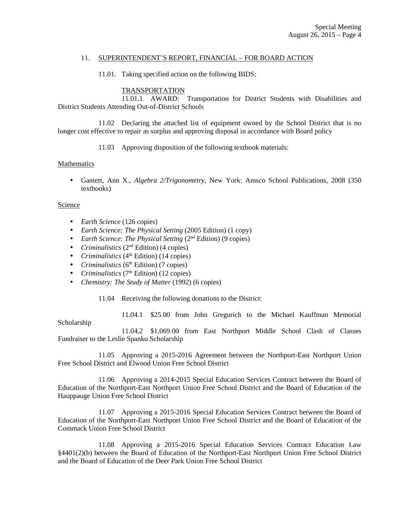### 11. SUPERINTENDENT'S REPORT, FINANCIAL – FOR BOARD ACTION

11.01. Taking specified action on the following BIDS:

## TRANSPORTATION

 11.01.1 AWARD: Transportation for District Students with Disabilities and District Students Attending Out-of-District Schools

 11.02 Declaring the attached list of equipment owned by the School District that is no longer cost effective to repair as surplus and approving disposal in accordance with Board policy

11.03 Approving disposition of the following textbook materials:

#### **Mathematics**

• Gantert, Ann X., *Algebra 2/Trigonometry*, New York: Amsco School Publications, 2008 (350 textbooks)

### Science

- *Earth Science* (126 copies)
- *Earth Science: The Physical Setting* (2005 Edition) (1 copy)
- *Earth Science: The Physical Setting* (2<sup>nd</sup> Edition) (9 copies)
- *Criminalistics* (2<sup>nd</sup> Edition) (4 copies)
- *Criminalistics* ( $4<sup>th</sup>$  Edition) (14 copies)
- *Criminalistics* (6<sup>th</sup> Edition) (7 copies)
- *Criminalistics* (7<sup>th</sup> Edition) (12 copies)
- *Chemistry: The Study of Matter* (1992) (6 copies)

11.04 Receiving the following donations to the District:

11.04.1 \$25.00 from John Gregurich to the Michael Kauffman Memorial

Scholarship

 11.04.2 \$1,069.00 from East Northport Middle School Clash of Classes Fundraiser to the Leslie Spanko Scholarship

 11.05 Approving a 2015-2016 Agreement between the Northport-East Northport Union Free School District and Elwood Union Free School District

 11.06 Approving a 2014-2015 Special Education Services Contract between the Board of Education of the Northport-East Northport Union Free School District and the Board of Education of the Hauppauge Union Free School District

 11.07 Approving a 2015-2016 Special Education Services Contract between the Board of Education of the Northport-East Northport Union Free School District and the Board of Education of the Commack Union Free School District

 11.08 Approving a 2015-2016 Special Education Services Contract Education Law §4401(2)(b) between the Board of Education of the Northport-East Northport Union Free School District and the Board of Education of the Deer Park Union Free School District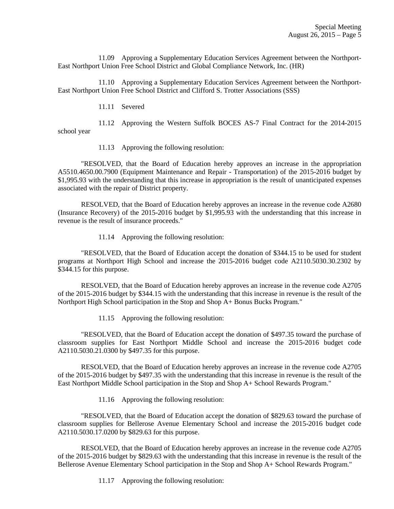11.09 Approving a Supplementary Education Services Agreement between the Northport-East Northport Union Free School District and Global Compliance Network, Inc. (HR)

 11.10 Approving a Supplementary Education Services Agreement between the Northport-East Northport Union Free School District and Clifford S. Trotter Associations (SSS)

11.11 Severed

 11.12 Approving the Western Suffolk BOCES AS-7 Final Contract for the 2014-2015 school year

11.13 Approving the following resolution:

 "RESOLVED, that the Board of Education hereby approves an increase in the appropriation A5510.4650.00.7900 (Equipment Maintenance and Repair - Transportation) of the 2015-2016 budget by \$1,995.93 with the understanding that this increase in appropriation is the result of unanticipated expenses associated with the repair of District property.

 RESOLVED, that the Board of Education hereby approves an increase in the revenue code A2680 (Insurance Recovery) of the 2015-2016 budget by \$1,995.93 with the understanding that this increase in revenue is the result of insurance proceeds."

11.14 Approving the following resolution:

 "RESOLVED, that the Board of Education accept the donation of \$344.15 to be used for student programs at Northport High School and increase the 2015-2016 budget code A2110.5030.30.2302 by \$344.15 for this purpose.

 RESOLVED, that the Board of Education hereby approves an increase in the revenue code A2705 of the 2015-2016 budget by \$344.15 with the understanding that this increase in revenue is the result of the Northport High School participation in the Stop and Shop A+ Bonus Bucks Program."

11.15 Approving the following resolution:

 "RESOLVED, that the Board of Education accept the donation of \$497.35 toward the purchase of classroom supplies for East Northport Middle School and increase the 2015-2016 budget code A2110.5030.21.0300 by \$497.35 for this purpose.

 RESOLVED, that the Board of Education hereby approves an increase in the revenue code A2705 of the 2015-2016 budget by \$497.35 with the understanding that this increase in revenue is the result of the East Northport Middle School participation in the Stop and Shop A+ School Rewards Program."

11.16 Approving the following resolution:

 "RESOLVED, that the Board of Education accept the donation of \$829.63 toward the purchase of classroom supplies for Bellerose Avenue Elementary School and increase the 2015-2016 budget code A2110.5030.17.0200 by \$829.63 for this purpose.

 RESOLVED, that the Board of Education hereby approves an increase in the revenue code A2705 of the 2015-2016 budget by \$829.63 with the understanding that this increase in revenue is the result of the Bellerose Avenue Elementary School participation in the Stop and Shop A+ School Rewards Program."

11.17 Approving the following resolution: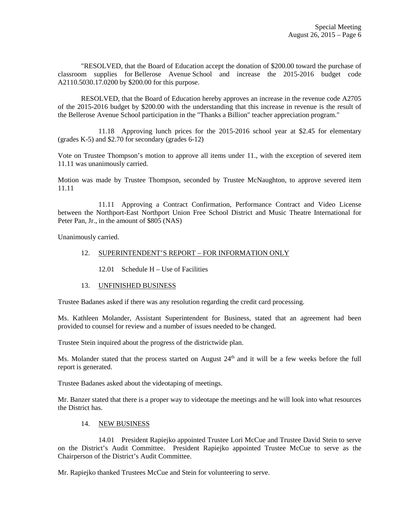"RESOLVED, that the Board of Education accept the donation of \$200.00 toward the purchase of classroom supplies for Bellerose Avenue School and increase the 2015-2016 budget code A2110.5030.17.0200 by \$200.00 for this purpose.

 RESOLVED, that the Board of Education hereby approves an increase in the revenue code A2705 of the 2015-2016 budget by \$200.00 with the understanding that this increase in revenue is the result of the Bellerose Avenue School participation in the "Thanks a Billion" teacher appreciation program."

 11.18 Approving lunch prices for the 2015-2016 school year at \$2.45 for elementary (grades K-5) and \$2.70 for secondary (grades 6-12)

Vote on Trustee Thompson's motion to approve all items under 11., with the exception of severed item 11.11 was unanimously carried.

Motion was made by Trustee Thompson, seconded by Trustee McNaughton, to approve severed item 11.11

 11.11 Approving a Contract Confirmation, Performance Contract and Video License between the Northport-East Northport Union Free School District and Music Theatre International for Peter Pan, Jr., in the amount of \$805 (NAS)

Unanimously carried.

### 12. SUPERINTENDENT'S REPORT – FOR INFORMATION ONLY

12.01 Schedule H – Use of Facilities

#### 13. UNFINISHED BUSINESS

Trustee Badanes asked if there was any resolution regarding the credit card processing.

Ms. Kathleen Molander, Assistant Superintendent for Business, stated that an agreement had been provided to counsel for review and a number of issues needed to be changed.

Trustee Stein inquired about the progress of the districtwide plan.

Ms. Molander stated that the process started on August  $24<sup>th</sup>$  and it will be a few weeks before the full report is generated.

Trustee Badanes asked about the videotaping of meetings.

Mr. Banzer stated that there is a proper way to videotape the meetings and he will look into what resources the District has.

### 14. NEW BUSINESS

 14.01 President Rapiejko appointed Trustee Lori McCue and Trustee David Stein to serve on the District's Audit Committee. President Rapiejko appointed Trustee McCue to serve as the Chairperson of the District's Audit Committee.

Mr. Rapiejko thanked Trustees McCue and Stein for volunteering to serve.